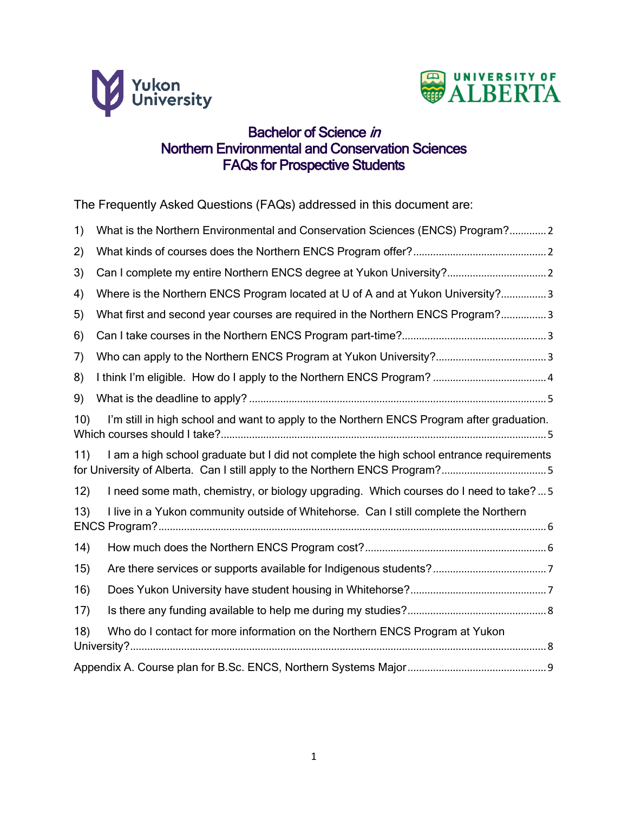



# Bachelor of Science in Northern Environmental and Conservation Sciences FAQs for Prospective Students

The Frequently Asked Questions (FAQs) addressed in this document are:

| 1)  | What is the Northern Environmental and Conservation Sciences (ENCS) Program?2                                                                                           |
|-----|-------------------------------------------------------------------------------------------------------------------------------------------------------------------------|
| 2)  |                                                                                                                                                                         |
| 3)  | Can I complete my entire Northern ENCS degree at Yukon University? 2                                                                                                    |
| 4)  | Where is the Northern ENCS Program located at U of A and at Yukon University?3                                                                                          |
| 5)  | What first and second year courses are required in the Northern ENCS Program?3                                                                                          |
| 6)  |                                                                                                                                                                         |
| 7)  |                                                                                                                                                                         |
| 8)  |                                                                                                                                                                         |
| 9)  |                                                                                                                                                                         |
| 10) | I'm still in high school and want to apply to the Northern ENCS Program after graduation.                                                                               |
| 11) | I am a high school graduate but I did not complete the high school entrance requirements<br>for University of Alberta. Can I still apply to the Northern ENCS Program?5 |
| 12) | I need some math, chemistry, or biology upgrading. Which courses do I need to take?5                                                                                    |
| 13) | I live in a Yukon community outside of Whitehorse. Can I still complete the Northern                                                                                    |
| 14) |                                                                                                                                                                         |
| 15) |                                                                                                                                                                         |
| 16) |                                                                                                                                                                         |
| 17) |                                                                                                                                                                         |
| 18) | Who do I contact for more information on the Northern ENCS Program at Yukon                                                                                             |
|     |                                                                                                                                                                         |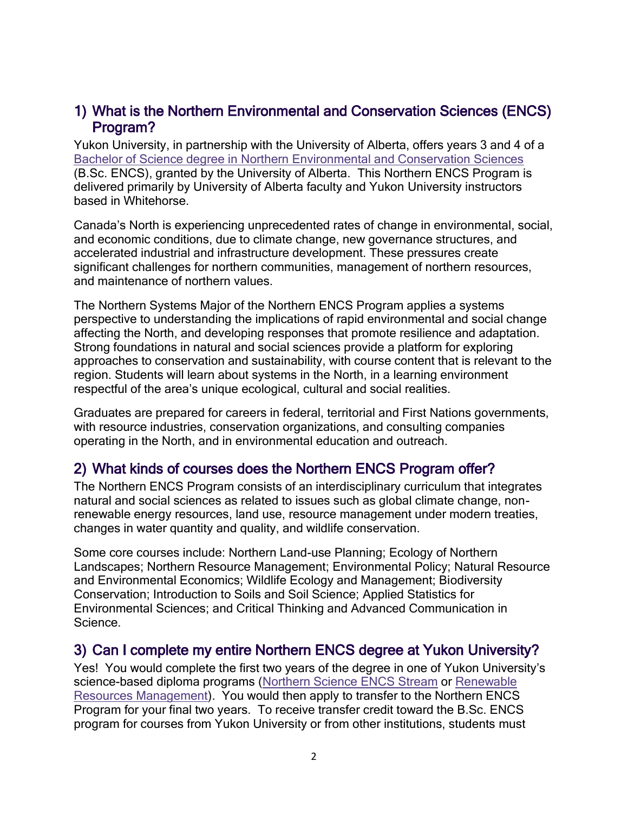### <span id="page-1-0"></span>1) What is the Northern Environmental and Conservation Sciences (ENCS) Program?

Yukon University, in partnership with the University of Alberta, offers years 3 and 4 of a [Bachelor of Science degree in Northern Environmental and Conservation Sciences](http://www.yukoncollege.yk.ca/encs) (B.Sc. ENCS), granted by the University of Alberta. This Northern ENCS Program is delivered primarily by University of Alberta faculty and Yukon University instructors based in Whitehorse.

Canada's North is experiencing unprecedented rates of change in environmental, social, and economic conditions, due to climate change, new governance structures, and accelerated industrial and infrastructure development. These pressures create significant challenges for northern communities, management of northern resources, and maintenance of northern values.

The Northern Systems Major of the Northern ENCS Program applies a systems perspective to understanding the implications of rapid environmental and social change affecting the North, and developing responses that promote resilience and adaptation. Strong foundations in natural and social sciences provide a platform for exploring approaches to conservation and sustainability, with course content that is relevant to the region. Students will learn about systems in the North, in a learning environment respectful of the area's unique ecological, cultural and social realities.

Graduates are prepared for careers in federal, territorial and First Nations governments, with resource industries, conservation organizations, and consulting companies operating in the North, and in environmental education and outreach.

### <span id="page-1-1"></span>2) What kinds of courses does the Northern ENCS Program offer?

The Northern ENCS Program consists of an interdisciplinary curriculum that integrates natural and social sciences as related to issues such as global climate change, nonrenewable energy resources, land use, resource management under modern treaties, changes in water quantity and quality, and wildlife conservation.

Some core courses include: Northern Land-use Planning; Ecology of Northern Landscapes; Northern Resource Management; Environmental Policy; Natural Resource and Environmental Economics; Wildlife Ecology and Management; Biodiversity Conservation; Introduction to Soils and Soil Science; Applied Statistics for Environmental Sciences; and Critical Thinking and Advanced Communication in Science.

### <span id="page-1-2"></span>3) Can I complete my entire Northern ENCS degree at Yukon University?

Yes! You would complete the first two years of the degree in one of Yukon University's science-based diploma programs [\(Northern Science ENCS Stream](http://www.yukonu.ca/nsci-encs) or [Renewable](http://www.yukonu.ca/rrmt)  [Resources Management\)](http://www.yukonu.ca/rrmt). You would then apply to transfer to the Northern ENCS Program for your final two years. To receive transfer credit toward the B.Sc. ENCS program for courses from Yukon University or from other institutions, students must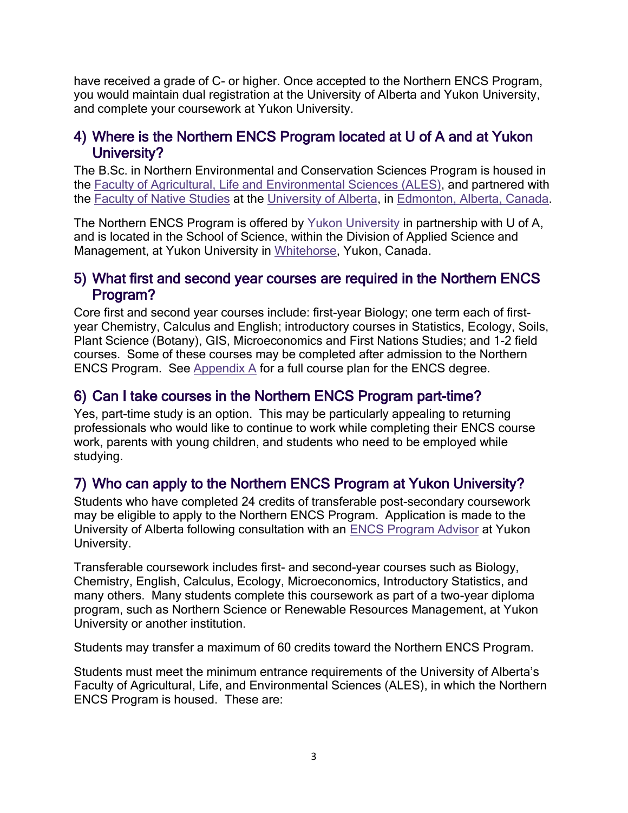have received a grade of C- or higher. Once accepted to the Northern ENCS Program, you would maintain dual registration at the University of Alberta and Yukon University, and complete your coursework at Yukon University.

### <span id="page-2-0"></span>4) Where is the Northern ENCS Program located at U of A and at Yukon University?

The B.Sc. in Northern Environmental and Conservation Sciences Program is housed in the [Faculty of Agricultural, Life and Environmental Sciences \(ALES\),](http://www.ales.ualberta.ca/) and partnered with the [Faculty of Native Studies](http://nativestudies.ualberta.ca/) at the [University of Alberta,](http://www.ualberta.ca/) in [Edmonton, Alberta, Canada.](http://www.edmonton.ca/)

The Northern ENCS Program is offered by [Yukon University](http://www.yukonu.ca/) in partnership with U of A, and is located in the School of Science, within the Division of Applied Science and Management, at Yukon University in [Whitehorse,](http://www.whitehorse.ca/) Yukon, Canada.

#### <span id="page-2-1"></span>5) What first and second year courses are required in the Northern ENCS Program?

Core first and second year courses include: first-year Biology; one term each of firstyear Chemistry, Calculus and English; introductory courses in Statistics, Ecology, Soils, Plant Science (Botany), GIS, Microeconomics and First Nations Studies; and 1-2 field courses. Some of these courses may be completed after admission to the Northern ENCS Program. See [Appendix A](#page-8-0) for a full course plan for the ENCS degree.

## <span id="page-2-2"></span>6) Can I take courses in the Northern ENCS Program part-time?

Yes, part-time study is an option. This may be particularly appealing to returning professionals who would like to continue to work while completing their ENCS course work, parents with young children, and students who need to be employed while studying.

# <span id="page-2-3"></span>7) Who can apply to the Northern ENCS Program at Yukon University?

Students who have completed 24 credits of transferable post-secondary coursework may be eligible to apply to the Northern ENCS Program. Application is made to the University of Alberta following consultation with an [ENCS Program Advisor](#page-7-1) at Yukon University.

Transferable coursework includes first- and second-year courses such as Biology, Chemistry, English, Calculus, Ecology, Microeconomics, Introductory Statistics, and many others. Many students complete this coursework as part of a two-year diploma program, such as Northern Science or Renewable Resources Management, at Yukon University or another institution.

Students may transfer a maximum of 60 credits toward the Northern ENCS Program.

Students must meet the minimum entrance requirements of the University of Alberta's Faculty of Agricultural, Life, and Environmental Sciences (ALES), in which the Northern ENCS Program is housed. These are: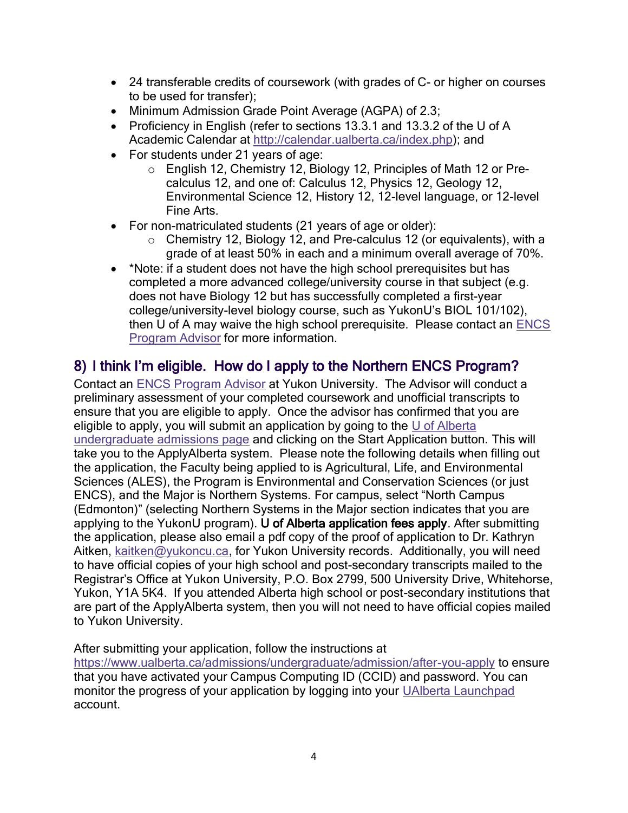- 24 transferable credits of coursework (with grades of C- or higher on courses to be used for transfer);
- Minimum Admission Grade Point Average (AGPA) of 2.3;
- Proficiency in English (refer to sections 13.3.1 and 13.3.2 of the U of A Academic Calendar at [http://calendar.ualberta.ca/index.php\)](http://calendar.ualberta.ca/index.php); and
- For students under 21 years of age:
	- o English 12, Chemistry 12, Biology 12, Principles of Math 12 or Precalculus 12, and one of: Calculus 12, Physics 12, Geology 12, Environmental Science 12, History 12, 12-level language, or 12-level Fine Arts.
- For non-matriculated students (21 years of age or older):
	- o Chemistry 12, Biology 12, and Pre-calculus 12 (or equivalents), with a grade of at least 50% in each and a minimum overall average of 70%.
- \*Note: if a student does not have the high school prerequisites but has completed a more advanced college/university course in that subject (e.g. does not have Biology 12 but has successfully completed a first-year college/university-level biology course, such as YukonU's BIOL 101/102), then U of A may waive the high school prerequisite. Please contact an [ENCS](#page-7-1)  [Program Advisor](#page-7-1) for more information.

## <span id="page-3-0"></span>8) I think I'm eligible. How do I apply to the Northern ENCS Program?

Contact an [ENCS Program Advisor](#page-7-1) at Yukon University. The Advisor will conduct a preliminary assessment of your completed coursework and unofficial transcripts to ensure that you are eligible to apply. Once the advisor has confirmed that you are eligible to apply, you will submit an application by going to the [U of Alberta](https://www.ualberta.ca/admissions/undergraduate/admission)  [undergraduate admissions page](https://www.ualberta.ca/admissions/undergraduate/admission) and clicking on the Start Application button. This will take you to the ApplyAlberta system. Please note the following details when filling out the application, the Faculty being applied to is Agricultural, Life, and Environmental Sciences (ALES), the Program is Environmental and Conservation Sciences (or just ENCS), and the Major is Northern Systems. For campus, select "North Campus (Edmonton)" (selecting Northern Systems in the Major section indicates that you are applying to the YukonU program). U of Alberta application fees apply. After submitting the application, please also email a pdf copy of the proof of application to Dr. Kathryn Aitken, [kaitken@yukoncu.ca,](mailto:kaitken@yukonu.ca) for Yukon University records. Additionally, you will need to have official copies of your high school and post-secondary transcripts mailed to the Registrar's Office at Yukon University, P.O. Box 2799, 500 University Drive, Whitehorse, Yukon, Y1A 5K4. If you attended Alberta high school or post-secondary institutions that are part of the ApplyAlberta system, then you will not need to have official copies mailed to Yukon University.

After submitting your application, follow the instructions at

<https://www.ualberta.ca/admissions/undergraduate/admission/after-you-apply> to ensure that you have activated your Campus Computing ID (CCID) and password. You can monitor the progress of your application by logging into your [UAlberta Launchpad](https://apply.ualberta.ca/portal/status)  account.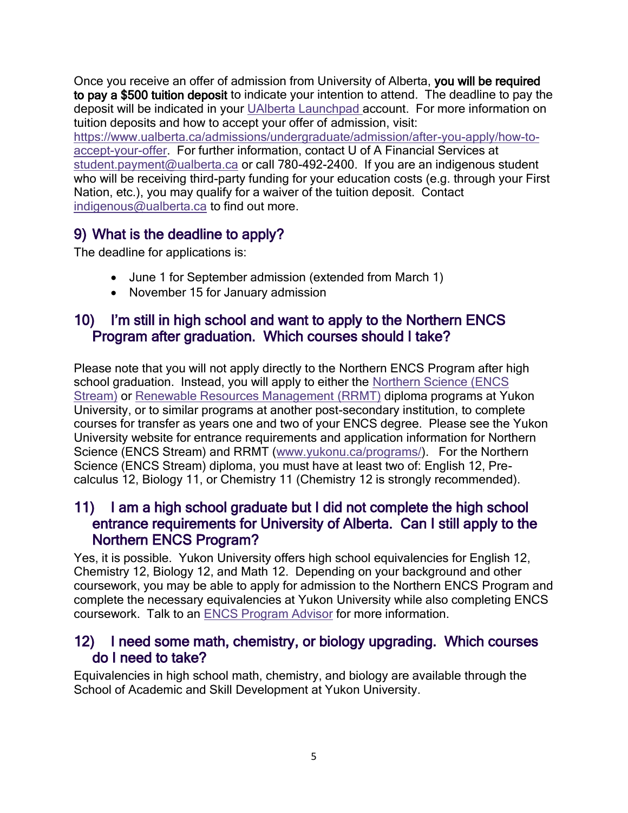Once you receive an offer of admission from University of Alberta, you will be required to pay a \$500 tuition deposit to indicate your intention to attend. The deadline to pay the deposit will be indicated in your [UAlberta Launchpad a](https://apply.ualberta.ca/portal/status)ccount. For more information on tuition deposits and how to accept your offer of admission, visit: [https://www.ualberta.ca/admissions/undergraduate/admission/after-you-apply/how-to](https://www.ualberta.ca/admissions/undergraduate/admission/after-you-apply/how-to-accept-your-offer)[accept-your-offer.](https://www.ualberta.ca/admissions/undergraduate/admission/after-you-apply/how-to-accept-your-offer) For further information, contact U of A Financial Services at [student.payment@ualberta.ca](mailto:student.payment@ualberta.ca) or call 780-492-2400. If you are an indigenous student who will be receiving third-party funding for your education costs (e.g. through your First Nation, etc.), you may qualify for a waiver of the tuition deposit. Contact [indigenous@ualberta.ca](mailto:indigenous@ualberta.ca) to find out more.

# <span id="page-4-0"></span>9) What is the deadline to apply?

The deadline for applications is:

- June 1 for September admission (extended from March 1)
- November 15 for January admission

### <span id="page-4-1"></span>10) I'm still in high school and want to apply to the Northern ENCS Program after graduation. Which courses should I take?

Please note that you will not apply directly to the Northern ENCS Program after high school graduation. Instead, you will apply to either the [Northern Science](http://www.yukonu.ca/nsci-encs) (ENCS [Stream\)](http://www.yukonu.ca/nsci-encs) or [Renewable Resources Management](http://www.yukonu.ca/rrmt) (RRMT) diploma programs at Yukon University, or to similar programs at another post-secondary institution, to complete courses for transfer as years one and two of your ENCS degree. Please see the Yukon University website for entrance requirements and application information for Northern Science (ENCS Stream) and RRMT [\(www.yukonu.ca/programs/\)](http://www.yukonu.ca/programs/). For the Northern Science (ENCS Stream) diploma, you must have at least two of: English 12, Precalculus 12, Biology 11, or Chemistry 11 (Chemistry 12 is strongly recommended).

### <span id="page-4-2"></span>11) I am a high school graduate but I did not complete the high school entrance requirements for University of Alberta. Can I still apply to the Northern ENCS Program?

Yes, it is possible. Yukon University offers high school equivalencies for English 12, Chemistry 12, Biology 12, and Math 12. Depending on your background and other coursework, you may be able to apply for admission to the Northern ENCS Program and complete the necessary equivalencies at Yukon University while also completing ENCS coursework. Talk to an [ENCS Program](#page-7-1) Advisor for more information.

### <span id="page-4-3"></span>12) I need some math, chemistry, or biology upgrading. Which courses do I need to take?

Equivalencies in high school math, chemistry, and biology are available through the School of Academic and Skill Development at Yukon University.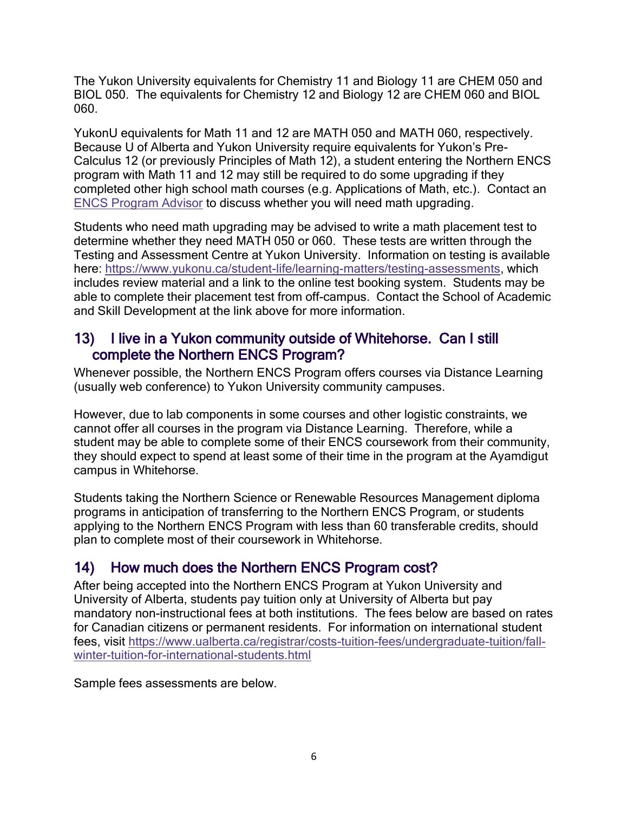The Yukon University equivalents for Chemistry 11 and Biology 11 are CHEM 050 and BIOL 050. The equivalents for Chemistry 12 and Biology 12 are CHEM 060 and BIOL 060.

YukonU equivalents for Math 11 and 12 are MATH 050 and MATH 060, respectively. Because U of Alberta and Yukon University require equivalents for Yukon's Pre-Calculus 12 (or previously Principles of Math 12), a student entering the Northern ENCS program with Math 11 and 12 may still be required to do some upgrading if they completed other high school math courses (e.g. Applications of Math, etc.). Contact an [ENCS Program Advisor](#page-7-1) to discuss whether you will need math upgrading.

Students who need math upgrading may be advised to write a math placement test to determine whether they need MATH 050 or 060. These tests are written through the Testing and Assessment Centre at Yukon University. Information on testing is available here: [https://www.yukonu.ca/student-life/learning-matters/testing-assessments,](https://www.yukonu.ca/student-life/learning-matters/testing-assessments) which includes review material and a link to the online test booking system. Students may be able to complete their placement test from off-campus. Contact the School of Academic and Skill Development at the link above for more information.

### <span id="page-5-0"></span>13) I live in a Yukon community outside of Whitehorse. Can I still complete the Northern ENCS Program?

Whenever possible, the Northern ENCS Program offers courses via Distance Learning (usually web conference) to Yukon University community campuses.

However, due to lab components in some courses and other logistic constraints, we cannot offer all courses in the program via Distance Learning. Therefore, while a student may be able to complete some of their ENCS coursework from their community, they should expect to spend at least some of their time in the program at the Ayamdigut campus in Whitehorse.

Students taking the Northern Science or Renewable Resources Management diploma programs in anticipation of transferring to the Northern ENCS Program, or students applying to the Northern ENCS Program with less than 60 transferable credits, should plan to complete most of their coursework in Whitehorse.

# <span id="page-5-1"></span>14) How much does the Northern ENCS Program cost?

After being accepted into the Northern ENCS Program at Yukon University and University of Alberta, students pay tuition only at University of Alberta but pay mandatory non-instructional fees at both institutions. The fees below are based on rates for Canadian citizens or permanent residents. For information on international student fees, visit [https://www.ualberta.ca/registrar/costs-tuition-fees/undergraduate-tuition/fall](https://www.ualberta.ca/registrar/costs-tuition-fees/undergraduate-tuition/fall-winter-tuition-for-international-students.html)[winter-tuition-for-international-students.html](https://www.ualberta.ca/registrar/costs-tuition-fees/undergraduate-tuition/fall-winter-tuition-for-international-students.html)

Sample fees assessments are below.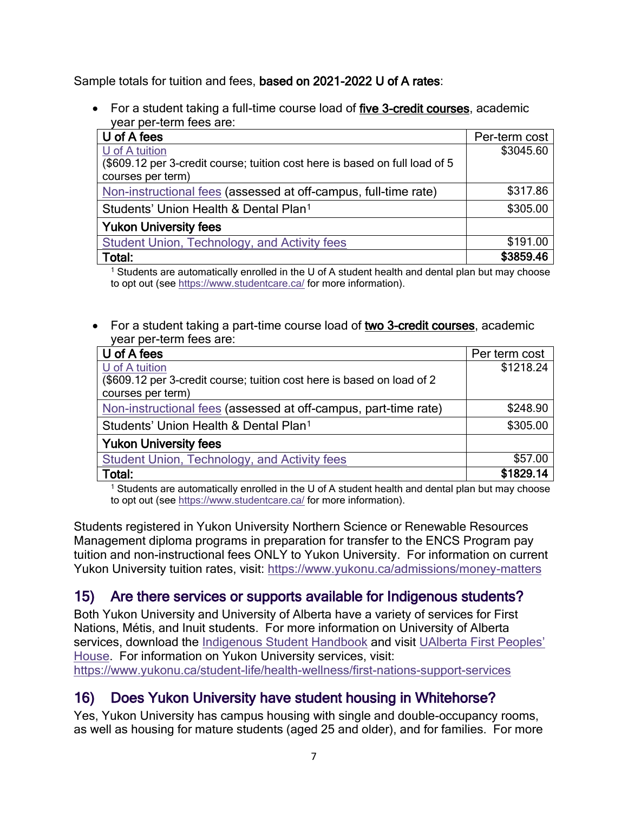Sample totals for tuition and fees, based on 2021-2022 U of A rates:

• For a student taking a full-time course load of five 3-credit courses, academic year per-term fees are:

| U of A fees                                                                 | Per-term cost |
|-----------------------------------------------------------------------------|---------------|
| U of A tuition                                                              | \$3045.60     |
| (\$609.12 per 3-credit course; tuition cost here is based on full load of 5 |               |
| courses per term)                                                           |               |
| Non-instructional fees (assessed at off-campus, full-time rate)             | \$317.86      |
| Students' Union Health & Dental Plan <sup>1</sup>                           | \$305.00      |
| <b>Yukon University fees</b>                                                |               |
| Student Union, Technology, and Activity fees                                | \$191.00      |
| Total:                                                                      | \$3859.46     |

<sup>1</sup> Students are automatically enrolled in the U of A student health and dental plan but may choose to opt out (see<https://www.studentcare.ca/> for more information).

• For a student taking a part-time course load of two 3-credit courses, academic year per-term fees are:

| U of A fees                                                            | Per term cost |
|------------------------------------------------------------------------|---------------|
| U of A tuition                                                         | \$1218.24     |
| (\$609.12 per 3-credit course; tuition cost here is based on load of 2 |               |
| courses per term)                                                      |               |
| Non-instructional fees (assessed at off-campus, part-time rate)        | \$248.90      |
| Students' Union Health & Dental Plan <sup>1</sup>                      | \$305.00      |
| <b>Yukon University fees</b>                                           |               |
| Student Union, Technology, and Activity fees                           | \$57.00       |
| Total:                                                                 | \$1829.14     |

<sup>1</sup> Students are automatically enrolled in the U of A student health and dental plan but may choose to opt out (see<https://www.studentcare.ca/> for more information).

Students registered in Yukon University Northern Science or Renewable Resources Management diploma programs in preparation for transfer to the ENCS Program pay tuition and non-instructional fees ONLY to Yukon University. For information on current Yukon University tuition rates, visit:<https://www.yukonu.ca/admissions/money-matters>

# <span id="page-6-0"></span>15) Are there services or supports available for Indigenous students?

Both Yukon University and University of Alberta have a variety of services for First Nations, Métis, and Inuit students. For more information on University of Alberta services, download the [Indigenous Student Handbook](https://www.ualberta.ca/admissions/undergraduate/resources/publications.html?) and visit [UAlberta First Peoples'](https://www.ualberta.ca/current-students/first-peoples-house/index.html)  [House.](https://www.ualberta.ca/current-students/first-peoples-house/index.html) For information on Yukon University services, visit: <https://www.yukonu.ca/student-life/health-wellness/first-nations-support-services>

# <span id="page-6-1"></span>16) Does Yukon University have student housing in Whitehorse?

Yes, Yukon University has campus housing with single and double-occupancy rooms, as well as housing for mature students (aged 25 and older), and for families. For more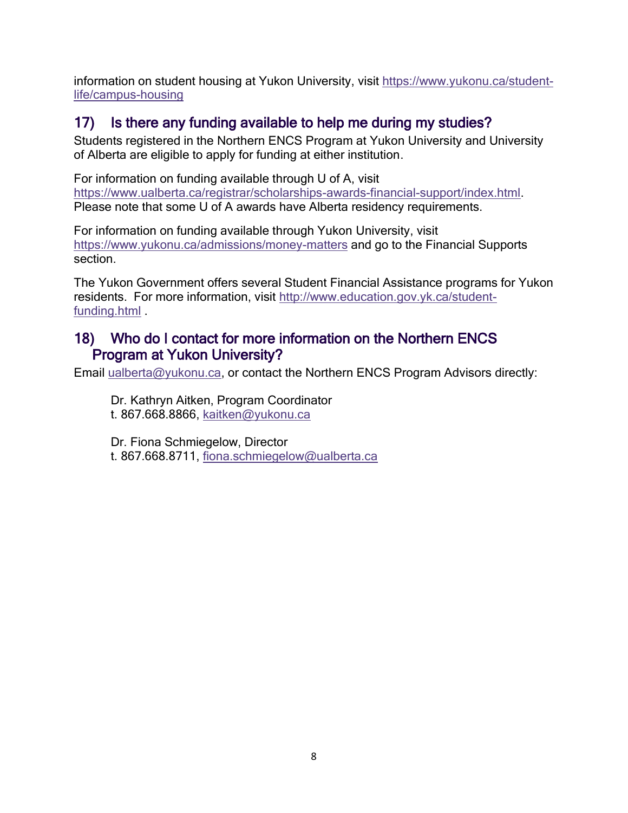information on student housing at Yukon University, visit [https://www.yukonu.ca/student](https://www.yukonu.ca/student-life/campus-housing)[life/campus-housing](https://www.yukonu.ca/student-life/campus-housing)

# <span id="page-7-0"></span>17) Is there any funding available to help me during my studies?

Students registered in the Northern ENCS Program at Yukon University and University of Alberta are eligible to apply for funding at either institution.

For information on funding available through U of A, visit [https://www.ualberta.ca/registrar/scholarships-awards-financial-support/index.html.](https://www.ualberta.ca/registrar/scholarships-awards-financial-support/index.html) Please note that some U of A awards have Alberta residency requirements.

For information on funding available through Yukon University, visit <https://www.yukonu.ca/admissions/money-matters> and go to the Financial Supports section.

The Yukon Government offers several Student Financial Assistance programs for Yukon residents. For more information, visit [http://www.education.gov.yk.ca/student](http://www.education.gov.yk.ca/student-funding.html)[funding.html](http://www.education.gov.yk.ca/student-funding.html) .

### <span id="page-7-1"></span>18) Who do I contact for more information on the Northern ENCS Program at Yukon University?

Email [ualberta@yukonu.ca,](mailto:ualberta@yukonu.ca) or contact the Northern ENCS Program Advisors directly:

Dr. Kathryn Aitken, Program Coordinator t. 867.668.8866, [kaitken@yukonu.ca](mailto:kaitken@yukonu.ca)

Dr. Fiona Schmiegelow, Director t. 867.668.8711, [fiona.schmiegelow@ualberta.ca](mailto:fiona.schmiegelow@ualberta.ca)